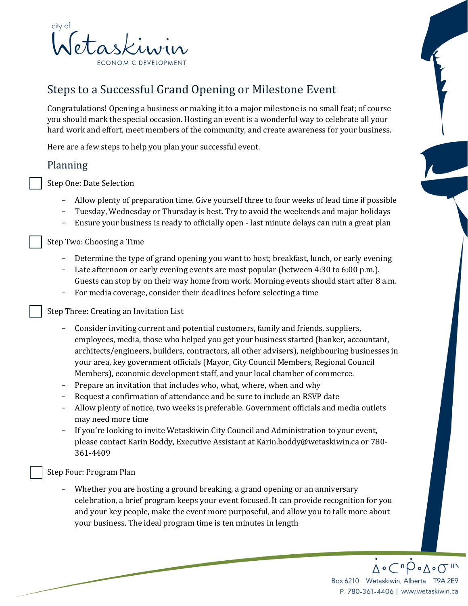

# Steps to a Successful Grand Opening or Milestone Event

Congratulations! Opening a business or making it to a major milestone is no small feat; of course you should mark the special occasion. Hosting an event is a wonderful way to celebrate all your hard work and effort, meet members of the community, and create awareness for your business.

Here are a few steps to help you plan your successful event.

## Planning

Step One: Date Selection

- Allow plenty of preparation time. Give yourself three to four weeks of lead time if possible
- Tuesday, Wednesday or Thursday is best. Try to avoid the weekends and major holidays
- Ensure your business is ready to officially open last minute delays can ruin a great plan

Step Two: Choosing a Time

- Determine the type of grand opening you want to host; breakfast, lunch, or early evening
- Late afternoon or early evening events are most popular (between 4:30 to 6:00 p.m.). Guests can stop by on their way home from work. Morning events should start after 8 a.m.
- For media coverage, consider their deadlines before selecting a time

Step Three: Creating an Invitation List

- Consider inviting current and potential customers, family and friends, suppliers, employees, media, those who helped you get your business started (banker, accountant, architects/engineers, builders, contractors, all other advisers), neighbouring businesses in your area, key government officials (Mayor, City Council Members, Regional Council Members), economic development staff, and your local chamber of commerce.
- Prepare an invitation that includes who, what, where, when and why
- Request a confirmation of attendance and be sure to include an RSVP date
- Allow plenty of notice, two weeks is preferable. Government officials and media outlets may need more time
- If you're looking to invite Wetaskiwin City Council and Administration to your event, please contact Karin Boddy, Executive Assistant at Karin.boddy@wetaskiwin.ca or 780- 361-4409

Step Four: Program Plan

Whether you are hosting a ground breaking, a grand opening or an anniversary celebration, a brief program keeps your event focused. It can provide recognition for you and your key people, make the event more purposeful, and allow you to talk more about your business. The ideal program time is ten minutes in length

> ¿∘⊂ªP∘∆∘σ" Box 6210 Wetaskiwin, Alberta T9A 2E9 P. 780-361-4406 | www.wetaskiwin.ca